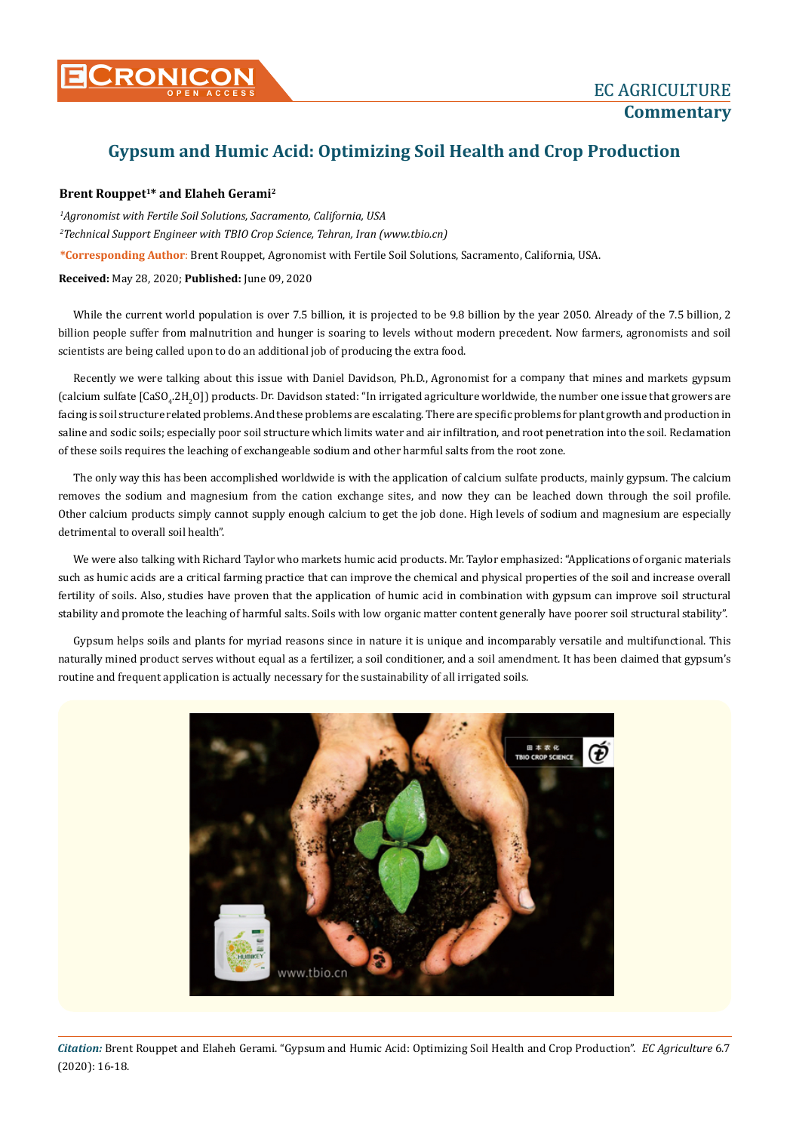

## **Gypsum and Humic Acid: Optimizing Soil Health and Crop Production**

## **Brent Rouppet1\* and Elaheh Gerami2**

*1 Agronomist with Fertile Soil Solutions, Sacramento, California, USA 2 Technical Support Engineer with TBIO Crop Science, Tehran, Iran (www.tbio.cn)*

**\*Corresponding Author**: Brent Rouppet, Agronomist with Fertile Soil Solutions, Sacramento, California, USA.

**Received:** May 28, 2020; **Published:** June 09, 2020

While the current world population is over 7.5 billion, it is projected to be 9.8 billion by the year 2050. Already of the 7.5 billion, 2 billion people suffer from malnutrition and hunger is soaring to levels without modern precedent. Now farmers, agronomists and soil scientists are being called upon to do an additional job of producing the extra food.

Recently we were talking about this issue with Daniel Davidson, Ph.D., Agronomist for a company that mines and markets gypsum (calcium sulfate [CaSO<sub>4</sub>.2H<sub>2</sub>O]) products. Dr. Davidson stated: "In irrigated agriculture worldwide, the number one issue that growers are facing is soil structure related problems. And these problems are escalating. There are specific problems for plant growth and production in saline and sodic soils; especially poor soil structure which limits water and air infiltration, and root penetration into the soil. Reclamation of these soils requires the leaching of exchangeable sodium and other harmful salts from the root zone.

The only way this has been accomplished worldwide is with the application of calcium sulfate products, mainly gypsum. The calcium removes the sodium and magnesium from the cation exchange sites, and now they can be leached down through the soil profile. Other calcium products simply cannot supply enough calcium to get the job done. High levels of sodium and magnesium are especially detrimental to overall soil health".

We were also talking with Richard Taylor who markets humic acid products. Mr. Taylor emphasized: "Applications of organic materials such as humic acids are a critical farming practice that can improve the chemical and physical properties of the soil and increase overall fertility of soils. Also, studies have proven that the application of humic acid in combination with gypsum can improve soil structural stability and promote the leaching of harmful salts. Soils with low organic matter content generally have poorer soil structural stability".

Gypsum helps soils and plants for myriad reasons since in nature it is unique and incomparably versatile and multifunctional. This naturally mined product serves without equal as a fertilizer, a soil conditioner, and a soil amendment. It has been claimed that gypsum's routine and frequent application is actually necessary for the sustainability of all irrigated soils.



*Citation:* Brent Rouppet and Elaheh Gerami. "Gypsum and Humic Acid: Optimizing Soil Health and Crop Production". *EC Agriculture* 6.7 (2020): 16-18.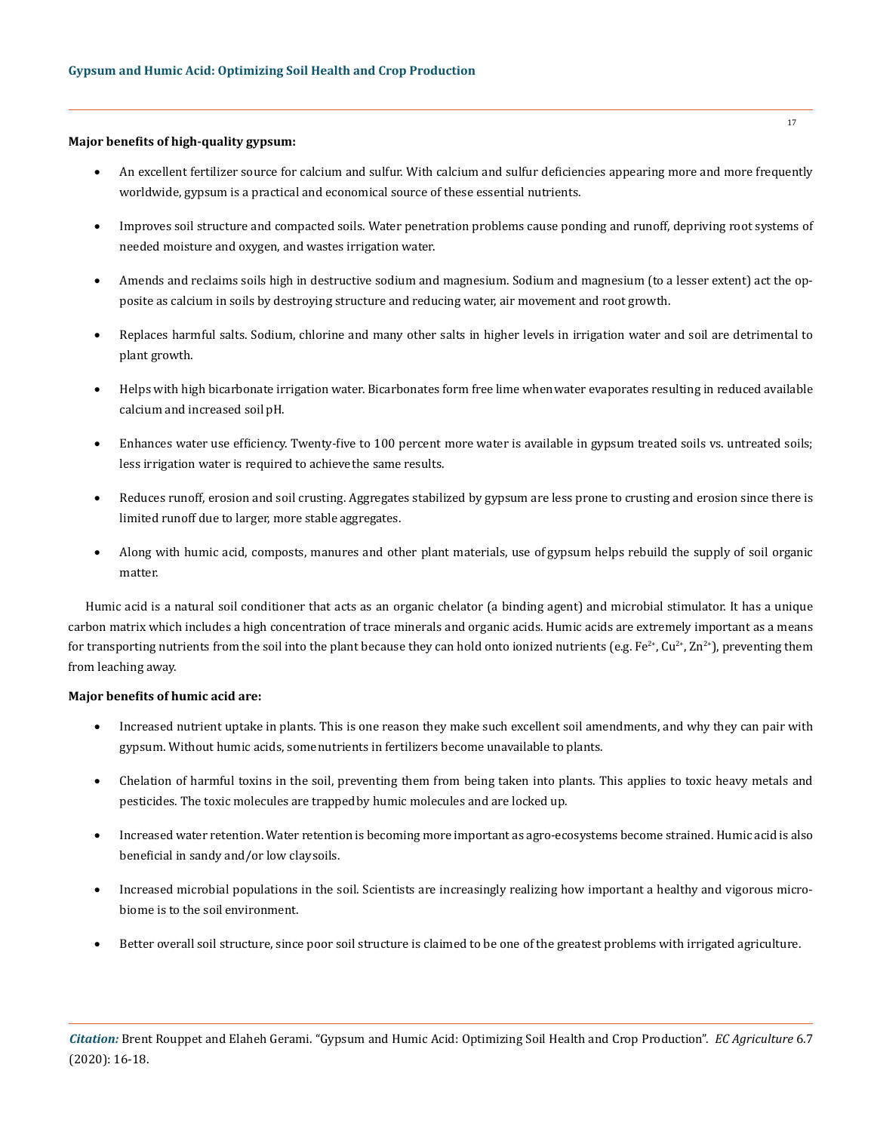## **Major benefits of high-quality gypsum:**

- An excellent fertilizer source for calcium and sulfur. With calcium and sulfur deficiencies appearing more and more frequently worldwide, gypsum is a practical and economical source of these essential nutrients.
- Improves soil structure and compacted soils. Water penetration problems cause ponding and runoff, depriving root systems of needed moisture and oxygen, and wastes irrigation water.
- Amends and reclaims soils high in destructive sodium and magnesium. Sodium and magnesium (to a lesser extent) act the opposite as calcium in soils by destroying structure and reducing water, air movement and root growth.
- Replaces harmful salts. Sodium, chlorine and many other salts in higher levels in irrigation water and soil are detrimental to plant growth.
- Helps with high bicarbonate irrigation water. Bicarbonates form free lime when water evaporates resulting in reduced available calcium and increased soil pH.
- Enhances water use efficiency. Twenty-five to 100 percent more water is available in gypsum treated soils vs. untreated soils; less irrigation water is required to achieve the same results.
- Reduces runoff, erosion and soil crusting. Aggregates stabilized by gypsum are less prone to crusting and erosion since there is limited runoff due to larger, more stable aggregates.
- Along with humic acid, composts, manures and other plant materials, use of gypsum helps rebuild the supply of soil organic matter.

Humic acid is a natural soil conditioner that acts as an organic chelator (a binding agent) and microbial stimulator. It has a unique carbon matrix which includes a high concentration of trace minerals and organic acids. Humic acids are extremely important as a means for transporting nutrients from the soil into the plant because they can hold onto ionized nutrients (e.g.  $Fe^{2+}$ ,  $Ce^{2+}$ ,  $Ca^{2+}$ , preventing them from leaching away.

## **Major benefits of humic acid are:**

- Increased nutrient uptake in plants. This is one reason they make such excellent soil amendments, and why they can pair with gypsum. Without humic acids, some nutrients in fertilizers become unavailable to plants.
- Chelation of harmful toxins in the soil, preventing them from being taken into plants. This applies to toxic heavy metals and pesticides. The toxic molecules are trapped by humic molecules and are locked up.
- Increased water retention. Water retention is becoming more important as agro-ecosystems become strained. Humic acid is also beneficial in sandy and/or low clay soils.
- Increased microbial populations in the soil. Scientists are increasingly realizing how important a healthy and vigorous microbiome is to the soil environment.
- Better overall soil structure, since poor soil structure is claimed to be one of the greatest problems with irrigated agriculture.